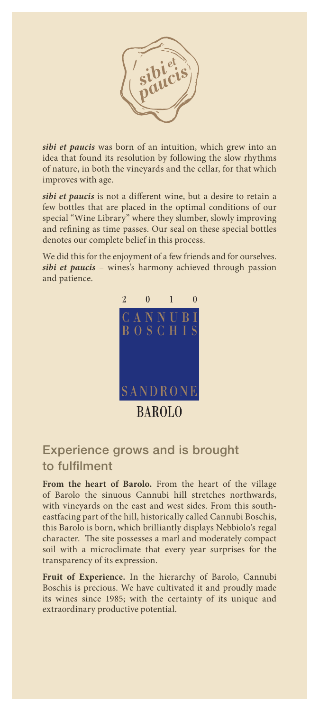

*sibi et paucis* was born of an intuition, which grew into an idea that found its resolution by following the slow rhythms of nature, in both the vineyards and the cellar, for that which improves with age.

*sibi et paucis* is not a different wine, but a desire to retain a few bottles that are placed in the optimal conditions of our special "Wine Library" where they slumber, slowly improving and refining as time passes. Our seal on these special bottles denotes our complete belief in this process.

We did this for the enjoyment of a few friends and for ourselves. *sibi et paucis* – wines's harmony achieved through passion and patience.



## Experience grows and is brought to fulfilment

**From the heart of Barolo.** From the heart of the village of Barolo the sinuous Cannubi hill stretches northwards, with vineyards on the east and west sides. From this southeastfacing part of the hill, historically called Cannubi Boschis, this Barolo is born, which brilliantly displays Nebbiolo's regal character. The site possesses a marl and moderately compact soil with a microclimate that every year surprises for the transparency of its expression.

**Fruit of Experience.** In the hierarchy of Barolo, Cannubi Boschis is precious. We have cultivated it and proudly made its wines since 1985; with the certainty of its unique and extraordinary productive potential.